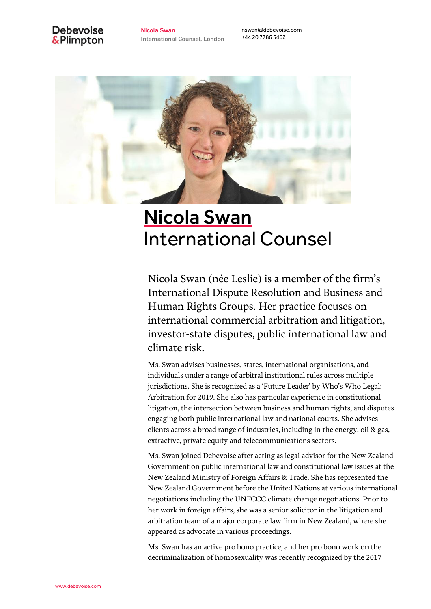# **Debevoise** & Plimpton

Nicola Swan International Counsel, London nswan@debevoise.com +44 20 7786 5462



# Nicola Swan International Counsel

Nicola Swan (née Leslie) is a member of the firm's International Dispute Resolution and Business and Human Rights Groups. Her practice focuses on international commercial arbitration and litigation, investor-state disputes, public international law and climate risk.

Ms. Swan advises businesses, states, international organisations, and individuals under a range of arbitral institutional rules across multiple jurisdictions. She is recognized as a 'Future Leader' by Who's Who Legal: Arbitration for 2019. She also has particular experience in constitutional litigation, the intersection between business and human rights, and disputes engaging both public international law and national courts. She advises clients across a broad range of industries, including in the energy, oil & gas, extractive, private equity and telecommunications sectors.

Ms. Swan joined Debevoise after acting as legal advisor for the New Zealand Government on public international law and constitutional law issues at the New Zealand Ministry of Foreign Affairs & Trade. She has represented the New Zealand Government before the United Nations at various international negotiations including the UNFCCC climate change negotiations. Prior to her work in foreign affairs, she was a senior solicitor in the litigation and arbitration team of a major corporate law firm in New Zealand, where she appeared as advocate in various proceedings.

Ms. Swan has an active pro bono practice, and her pro bono work on the decriminalization of homosexuality was recently recognized by the 2017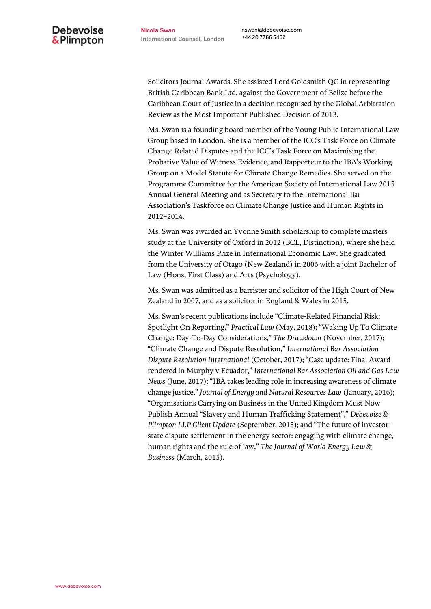nswan@debevoise.com +44 20 7786 5462

Solicitors Journal Awards. She assisted Lord Goldsmith QC in representing British Caribbean Bank Ltd. against the Government of Belize before the Caribbean Court of Justice in a decision recognised by the Global Arbitration Review as the Most Important Published Decision of 2013.

Ms. Swan is a founding board member of the Young Public International Law Group based in London. She is a member of the ICC's Task Force on Climate Change Related Disputes and the ICC's Task Force on Maximising the Probative Value of Witness Evidence, and Rapporteur to the IBA's Working Group on a Model Statute for Climate Change Remedies. She served on the Programme Committee for the American Society of International Law 2015 Annual General Meeting and as Secretary to the International Bar Association's Taskforce on Climate Change Justice and Human Rights in 2012–2014.

Ms. Swan was awarded an Yvonne Smith scholarship to complete masters study at the University of Oxford in 2012 (BCL, Distinction), where she held the Winter Williams Prize in International Economic Law. She graduated from the University of Otago (New Zealand) in 2006 with a joint Bachelor of Law (Hons, First Class) and Arts (Psychology).

Ms. Swan was admitted as a barrister and solicitor of the High Court of New Zealand in 2007, and as a solicitor in England & Wales in 2015.

Ms. Swan's recent publications include "Climate-Related Financial Risk: Spotlight On Reporting," *Practical Law* (May, 2018); "Waking Up To Climate Change: Day-To-Day Considerations," *The Drawdown* (November, 2017); "Climate Change and Dispute Resolution," *International Bar Association Dispute Resolution International* (October, 2017); "Case update: Final Award rendered in Murphy v Ecuador," *International Bar Association Oil and Gas Law News* (June, 2017); "IBA takes leading role in increasing awareness of climate change justice," *Journal of Energy and Natural Resources Law* (January, 2016); "Organisations Carrying on Business in the United Kingdom Must Now Publish Annual "Slavery and Human Trafficking Statement"," *Debevoise & Plimpton LLP Client Update* (September, 2015); and "The future of investorstate dispute settlement in the energy sector: engaging with climate change, human rights and the rule of law," *The Journal of World Energy Law & Business* (March, 2015).